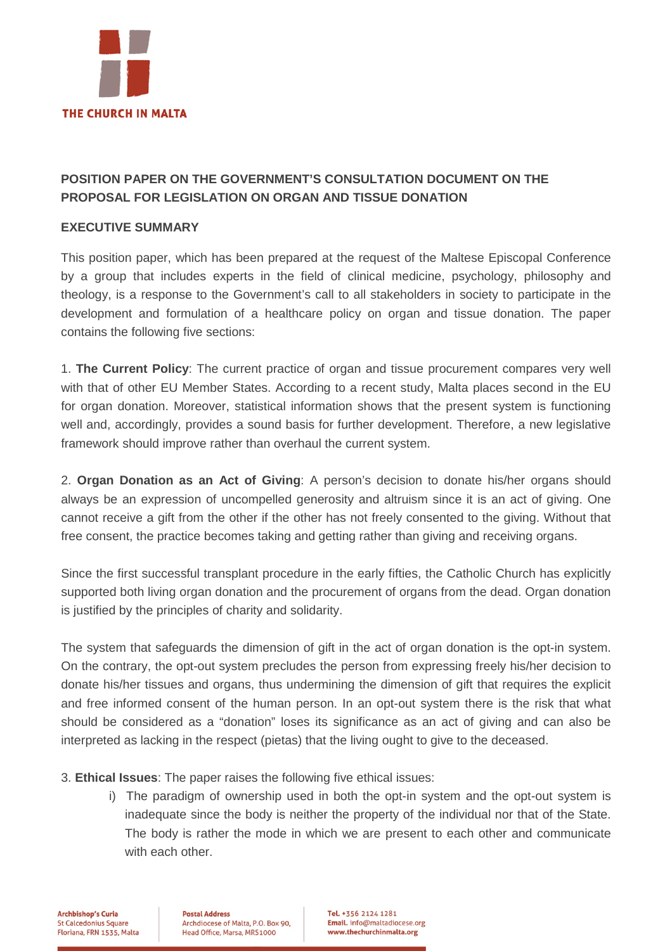

## **POSITION PAPER ON THE GOVERNMENT'S CONSULTATION DOCUMENT ON THE PROPOSAL FOR LEGISLATION ON ORGAN AND TISSUE DONATION**

## **EXECUTIVE SUMMARY**

This position paper, which has been prepared at the request of the Maltese Episcopal Conference by a group that includes experts in the field of clinical medicine, psychology, philosophy and theology, is a response to the Government's call to all stakeholders in society to participate in the development and formulation of a healthcare policy on organ and tissue donation. The paper contains the following five sections:

1. **The Current Policy**: The current practice of organ and tissue procurement compares very well with that of other EU Member States. According to a recent study, Malta places second in the EU for organ donation. Moreover, statistical information shows that the present system is functioning well and, accordingly, provides a sound basis for further development. Therefore, a new legislative framework should improve rather than overhaul the current system.

2. **Organ Donation as an Act of Giving**: A person's decision to donate his/her organs should always be an expression of uncompelled generosity and altruism since it is an act of giving. One cannot receive a gift from the other if the other has not freely consented to the giving. Without that free consent, the practice becomes taking and getting rather than giving and receiving organs.

Since the first successful transplant procedure in the early fifties, the Catholic Church has explicitly supported both living organ donation and the procurement of organs from the dead. Organ donation is justified by the principles of charity and solidarity.

The system that safeguards the dimension of gift in the act of organ donation is the opt-in system. On the contrary, the opt-out system precludes the person from expressing freely his/her decision to donate his/her tissues and organs, thus undermining the dimension of gift that requires the explicit and free informed consent of the human person. In an opt-out system there is the risk that what should be considered as a "donation" loses its significance as an act of giving and can also be interpreted as lacking in the respect (pietas) that the living ought to give to the deceased.

3. **Ethical Issues**: The paper raises the following five ethical issues:

i) The paradigm of ownership used in both the opt-in system and the opt-out system is inadequate since the body is neither the property of the individual nor that of the State. The body is rather the mode in which we are present to each other and communicate with each other.